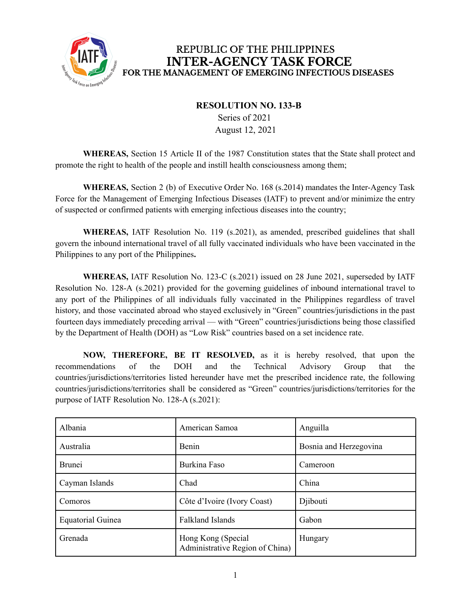

## REPUBLIC OF THE PHILIPPINES **INTER-AGENCY TASK FORCE** FOR THE MANAGEMENT OF EMERGING INFECTIOUS DISEASES

## **RESOLUTION NO. 133-B**

Series of 2021 August 12, 2021

**WHEREAS,** Section 15 Article II of the 1987 Constitution states that the State shall protect and promote the right to health of the people and instill health consciousness among them;

**WHEREAS,** Section 2 (b) of Executive Order No. 168 (s.2014) mandates the Inter-Agency Task Force for the Management of Emerging Infectious Diseases (IATF) to prevent and/or minimize the entry of suspected or confirmed patients with emerging infectious diseases into the country;

**WHEREAS,** IATF Resolution No. 119 (s.2021), as amended, prescribed guidelines that shall govern the inbound international travel of all fully vaccinated individuals who have been vaccinated in the Philippines to any port of the Philippines**.**

**WHEREAS,** IATF Resolution No. 123-C (s.2021) issued on 28 June 2021, superseded by IATF Resolution No. 128-A (s.2021) provided for the governing guidelines of inbound international travel to any port of the Philippines of all individuals fully vaccinated in the Philippines regardless of travel history, and those vaccinated abroad who stayed exclusively in "Green" countries/jurisdictions in the past fourteen days immediately preceding arrival — with "Green" countries/jurisdictions being those classified by the Department of Health (DOH) as "Low Risk" countries based on a set incidence rate.

**NOW, THEREFORE, BE IT RESOLVED,** as it is hereby resolved, that upon the recommendations of the DOH and the Technical Advisory Group that the countries/jurisdictions/territories listed hereunder have met the prescribed incidence rate, the following countries/jurisdictions/territories shall be considered as "Green" countries/jurisdictions/territories for the purpose of IATF Resolution No. 128-A (s.2021):

| Albania                  | American Samoa                                        | Anguilla               |
|--------------------------|-------------------------------------------------------|------------------------|
| Australia                | <b>Benin</b>                                          | Bosnia and Herzegovina |
| <b>Brunei</b>            | Burkina Faso                                          | Cameroon               |
| Cayman Islands           | Chad                                                  | China                  |
| Comoros                  | Côte d'Ivoire (Ivory Coast)                           | Djibouti               |
| <b>Equatorial Guinea</b> | <b>Falkland Islands</b>                               | Gabon                  |
| Grenada                  | Hong Kong (Special<br>Administrative Region of China) | Hungary                |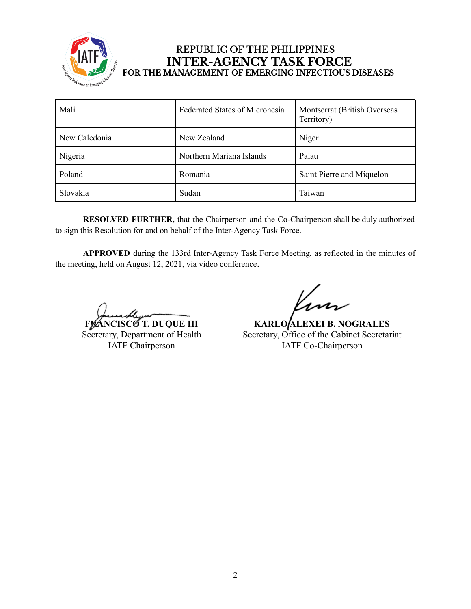

## REPUBLIC OF THE PHILIPPINES **INTER-AGENCY TASK FORCE** FOR THE MANAGEMENT OF EMERGING INFECTIOUS DISEASES

| Mali          | <b>Federated States of Micronesia</b> | Montserrat (British Overseas<br>Territory) |
|---------------|---------------------------------------|--------------------------------------------|
| New Caledonia | New Zealand                           | Niger                                      |
| Nigeria       | Northern Mariana Islands              | Palau                                      |
| Poland        | Romania                               | Saint Pierre and Miquelon                  |
| Slovakia      | Sudan                                 | Taiwan                                     |

**RESOLVED FURTHER,** that the Chairperson and the Co-Chairperson shall be duly authorized to sign this Resolution for and on behalf of the Inter-Agency Task Force.

**APPROVED** during the 133rd Inter-Agency Task Force Meeting, as reflected in the minutes of the meeting, held on August 12, 2021, via video conference**.**

**FLANCISCO T. DUQUE III** Secretary, Department of Health IATF Chairperson

**KARLO ALEXEI B. NOGRALES** Secretary, Office of the Cabinet Secretariat IATF Co-Chairperson